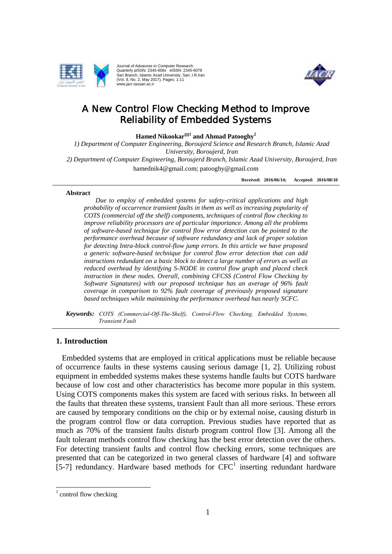

Journal of Advances in Computer Research Quarterly pISSN: 2345-606x eISSN: 2345-6078 Sari Branch, Islamic Azad University, Sari, I.R.Iran (Vol. 8, No. 2, May 2017), Pages: 1-11 www.jacr.iausari.ac.ir



# A New Control Flow Checking Method to Improve Reliability of Embedded Systems

**Hamed Nikookar<sup>1</sup> and Ahmad Patooghy<sup>2</sup>**

*1) Department of Computer Engineering, Boroujerd Science and Research Branch, Islamic Azad University, Boroujerd, Iran 2) Department of Computer Engineering, Boroujerd Branch, Islamic Azad University, Boroujerd, Iran* hamednik4@gmail.com; patooghy@gmail.com

**Received: 2016/06/14; Accepted: 2016/08/10**

#### **Abstract**

*Due to employ of embedded systems for safety-critical applications and high probability of occurrence transient faults in them as well as increasing popularity of COTS (commercial off the shelf) components, techniques of control flow checking to improve reliability processors are of particular importance. Among all the problems of software-based technique for control flow error detection can be pointed to the performance overhead because of software redundancy and lack of proper solution for detecting Intra-block control-flow jump errors. In this article we have proposed a generic software-based technique for control flow error detection that can add instructions redundant on a basic block to detect a large number of errors as well as reduced overhead by identifying S-NODE in control flow graph and placed check instruction in these nodes. Overall, combining CFCSS (Control Flow Checking by Software Signatures) with our proposed technique has an average of 96% fault coverage in comparison to 92% fault coverage of previously proposed signature based techniques while maintaining the performance overhead has nearly SCFC.*

*Keywords: COTS (Commercial-Off-The-Shelf), Control-Flow Checking, Embedded Systems, Transient Fault*

### **1. Introduction**

Embedded systems that are employed in critical applications must be reliable because of occurrence faults in these systems causing serious damage [1, 2]. Utilizing robust equipment in embedded systems makes these systems handle faults but COTS hardware because of low cost and other characteristics has become more popular in this system. Using COTS components makes this system are faced with serious risks. In between all the faults that threaten these systems, transient Fault than all more serious. These errors are caused by temporary conditions on the chip or by external noise, causing disturb in the program control flow or data corruption. Previous studies have reported that as much as 70% of the transient faults disturb program control flow [3]. Among all the fault tolerant methods control flow checking has the best error detection over the others. For detecting transient faults and control flow checking errors, some techniques are presented that can be categorized in two general classes of hardware [4] and software  $[5-7]$  redundancy. Hardware based methods for  $CFC<sup>1</sup>$  inserting redundant hardware

 $\overline{a}$ 

 $1$  control flow checking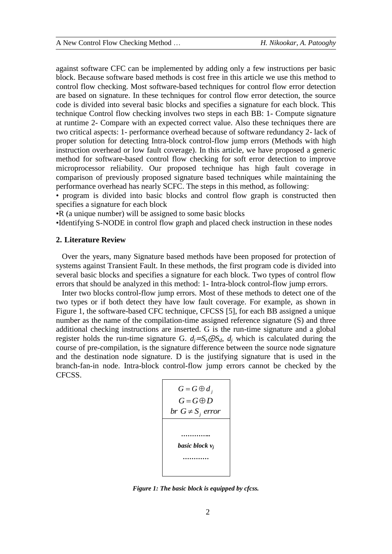against software CFC can be implemented by adding only a few instructions per basic block. Because software based methods is cost free in this article we use this method to control flow checking. Most software-based techniques for control flow error detection are based on signature. In these techniques for control flow error detection, the source code is divided into several basic blocks and specifies a signature for each block. This technique Control flow checking involves two steps in each BB: 1- Compute signature at runtime 2- Compare with an expected correct value. Also these techniques there are two critical aspects: 1- performance overhead because of software redundancy 2- lack of proper solution for detecting Intra-block control-flow jump errors (Methods with high instruction overhead or low fault coverage). In this article, we have proposed a generic method for software-based control flow checking for soft error detection to improve microprocessor reliability. Our proposed technique has high fault coverage in comparison of previously proposed signature based techniques while maintaining the performance overhead has nearly SCFC. The steps in this method, as following:

• program is divided into basic blocks and control flow graph is constructed then specifies a signature for each block

•R (a unique number) will be assigned to some basic blocks

•Identifying S-NODE in control flow graph and placed check instruction in these nodes

#### **2. Literature Review**

Over the years, many Signature based methods have been proposed for protection of systems against Transient Fault. In these methods, the first program code is divided into several basic blocks and specifies a signature for each block. Two types of control flow errors that should be analyzed in this method: 1- Intra-block control-flow jump errors.

Inter two blocks control-flow jump errors. Most of these methods to detect one of the two types or if both detect they have low fault coverage. For example, as shown in Figure 1, the software-based CFC technique, CFCSS [5], for each BB assigned a unique number as the name of the compilation-time assigned reference signature (S) and three additional checking instructions are inserted. G is the run-time signature and a global register holds the run-time signature G.  $d_i = S_s \oplus S_d$ ,  $d_i$  which is calculated during the course of pre-compilation, is the signature difference between the source node signature and the destination node signature. D is the justifying signature that is used in the branch-fan-in node. Intra-block control-flow jump errors cannot be checked by the CFCSS.



*Figure 1: The basic block is equipped by cfcss.*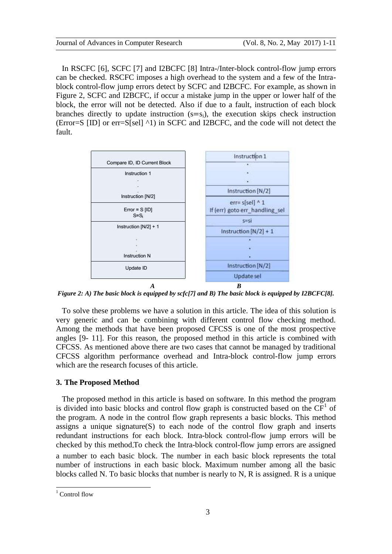In RSCFC [6], SCFC [7] and I2BCFC [8] Intra-/Inter-block control-flow jump errors can be checked. RSCFC imposes a high overhead to the system and a few of the Intrablock control-flow jump errors detect by SCFC and I2BCFC. For example, as shown in Figure 2, SCFC and I2BCFC, if occur a mistake jump in the upper or lower half of the block, the error will not be detected. Also if due to a fault, instruction of each block branches directly to update instruction  $(s=s_i)$ , the execution skips check instruction (Error=S [ID] or err=S[sel] ^1) in SCFC and I2BCFC, and the code will not detect the fault.



*Figure 2: A) The basic block is equipped by scfc[7] and B) The basic block is equipped by I2BCFC[8].*

To solve these problems we have a solution in this article. The idea of this solution is very generic and can be combining with different control flow checking method. Among the methods that have been proposed CFCSS is one of the most prospective angles [9- 11]. For this reason, the proposed method in this article is combined with CFCSS. As mentioned above there are two cases that cannot be managed by traditional CFCSS algorithm performance overhead and Intra-block control-flow jump errors which are the research focuses of this article.

#### **3. The Proposed Method**

The proposed method in this article is based on software. In this method the program is divided into basic blocks and control flow graph is constructed based on the  $CF<sup>1</sup>$  of the program. A node in the control flow graph represents a basic blocks. This method assigns a unique signature(S) to each node of the control flow graph and inserts redundant instructions for each block. Intra-block control-flow jump errors will be checked by this method To check the Intra-block control-flow jump errors are assigned a number to each basic block. The number in each basic block represents the total number of instructions in each basic block. Maximum number among all the basic blocks called N. To basic blocks that number is nearly to N, R is assigned. R is a unique

 $\overline{a}$ 

 $1$  Control flow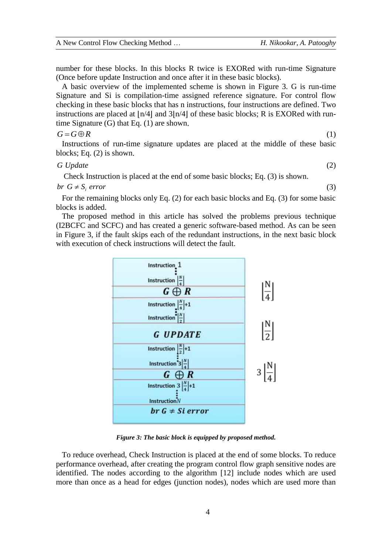number for these blocks. In this blocks R twice is EXORed with run-time Signature (Once before update Instruction and once after it in these basic blocks).

A basic overview of the implemented scheme is shown in Figure 3. G is run-time Signature and Si is compilation-time assigned reference signature. For control flow checking in these basic blocks that has n instructions, four instructions are defined. Two instructions are placed at  $\ln/4$ | and  $3\ln/4$ | of these basic blocks; R is EXORed with runtime Signature  $(G)$  that Eq.  $(1)$  are shown.

#### $G = G \oplus R$

Instructions of run-time signature updates are placed at the middle of these basic blocks; Eq.  $(2)$  is shown.

#### *G Update*

Check Instruction is placed at the end of some basic blocks; Eq. (3) is shown.

*br*  $G \neq S_i$  *error* 

For the remaining blocks only Eq. (2) for each basic blocks and Eq. (3) for some basic blocks is added.

The proposed method in this article has solved the problems previous technique (I2BCFC and SCFC) and has created a generic software-based method. As can be seen in Figure 3*,* if the fault skips each of the redundant instructions, in the next basic block with execution of check instructions will detect the fault.



*Figure 3: The basic block is equipped by proposed method.*

To reduce overhead, Check Instruction is placed at the end of some blocks. To reduce performance overhead, after creating the program control flow graph sensitive nodes are identified. The nodes according to the algorithm [12] include nodes which are used more than once as a head for edges (junction nodes), nodes which are used more than

(2)

(3)

(1)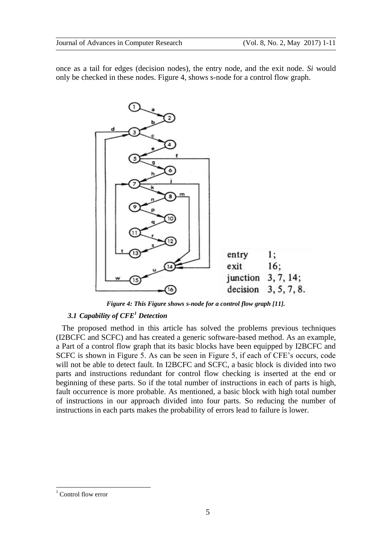once as a tail for edges (decision nodes), the entry node, and the exit node. *Si* would only be checked in these nodes. Figure 4, shows s-node for a control flow graph.



*Figure 4: This Figure shows s-node for a control flow graph [11].*

## *3.1 Capability of CFE<sup>1</sup> Detection*

The proposed method in this article has solved the problems previous techniques (I2BCFC and SCFC) and has created a generic software-based method. As an example, a Part of a control flow graph that its basic blocks have been equipped by I2BCFC and SCFC is shown in Figure 5. As can be seen in Figure 5, if each of CFE's occurs, code will not be able to detect fault. In I2BCFC and SCFC, a basic block is divided into two parts and instructions redundant for control flow checking is inserted at the end or beginning of these parts. So if the total number of instructions in each of parts is high, fault occurrence is more probable. As mentioned, a basic block with high total number of instructions in our approach divided into four parts. So reducing the number of instructions in each parts makes the probability of errors lead to failure is lower.

 $\overline{a}$ 

Control flow error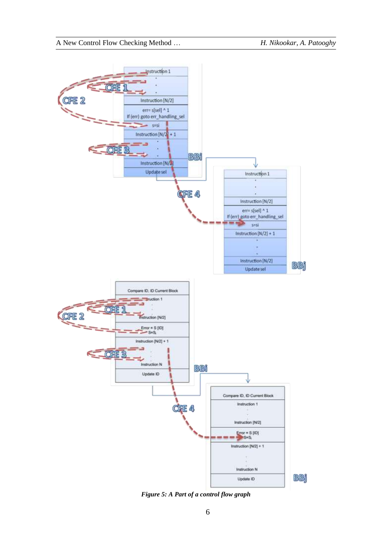

*Figure 5: A Part of a control flow graph*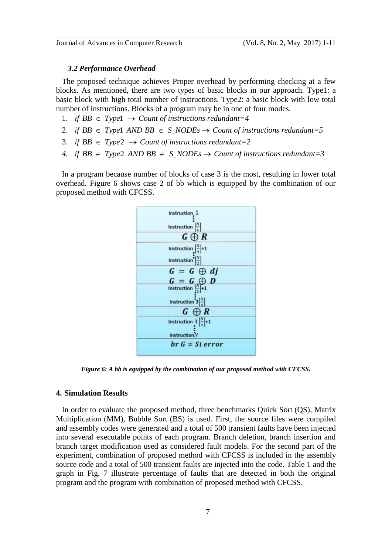#### *3.2 Performance Overhead*

The proposed technique achieves Proper overhead by performing checking at a few blocks. As mentioned, there are two types of basic blocks in our approach. Type1: a basic block with high total number of instructions. Type2: a basic block with low total number of instructions. Blocks of a program may be in one of four modes.

- 1. *if*  $BB \in Type1 \rightarrow Count of instructions redundant=4$
- 2. *if BB*  $\in$  Type AND BB  $\in$  S NODEs  $\rightarrow$  Count of instructions redundant=5
- 3. *if*  $BB \in Type2 \rightarrow Count of instructions redundant = 2$
- 4. *if*  $BB \in Type2$   $AND$   $BB \in S$   $NODEs \rightarrow Count$  of instructions redundant=3

In a program because number of blocks of case 3 is the most, resulting in lower total overhead. Figure 6 shows case 2 of bb which is equipped by the combination of our proposed method with CFCSS.



*Figure 6: A bb is equipped by the combination of our proposed method with CFCSS.*

#### **4. Simulation Results**

In order to evaluate the proposed method, three benchmarks Quick Sort (QS), Matrix Multiplication (MM), Bubble Sort (BS) is used. First, the source files were compiled and assembly codes were generated and a total of 500 transient faults have been injected into several executable points of each program. Branch deletion, branch insertion and branch target modification used as considered fault models. For the second part of the experiment, combination of proposed method with CFCSS is included in the assembly source code and a total of 500 transient faults are injected into the code. Table 1 and the graph in Fig. 7 illustrate percentage of faults that are detected in both the original program and the program with combination of proposed method with CFCSS.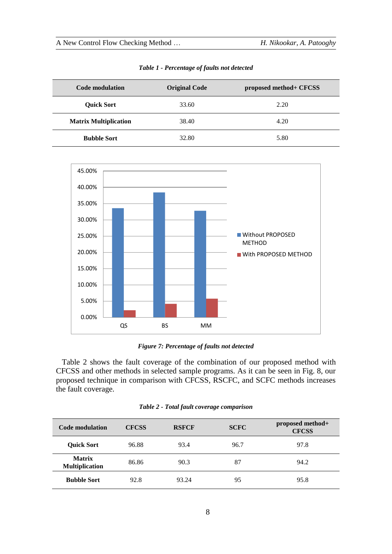| <b>Code modulation</b>       | <b>Original Code</b> | proposed method+ CFCSS |
|------------------------------|----------------------|------------------------|
| <b>Quick Sort</b>            | 33.60                | 2.20                   |
| <b>Matrix Multiplication</b> | 38.40                | 4.20                   |
| <b>Bubble Sort</b>           | 32.80                | 5.80                   |

*Table 1 - Percentage of faults not detected*



*Figure 7: Percentage of faults not detected*

Table 2 shows the fault coverage of the combination of our proposed method with CFCSS and other methods in selected sample programs. As it can be seen in Fig. 8, our proposed technique in comparison with CFCSS, RSCFC, and SCFC methods increases the fault coverage.

|  | Table 2 - Total fault coverage comparison |  |
|--|-------------------------------------------|--|
|  |                                           |  |

| Code modulation                        | <b>CFCSS</b> | <b>RSFCF</b> | <b>SCFC</b> | proposed method+<br><b>CFCSS</b> |
|----------------------------------------|--------------|--------------|-------------|----------------------------------|
| <b>Ouick Sort</b>                      | 96.88        | 93.4         | 96.7        | 97.8                             |
| <b>Matrix</b><br><b>Multiplication</b> | 86.86        | 90.3         | 87          | 94.2                             |
| <b>Bubble Sort</b>                     | 92.8         | 93.24        | 95          | 95.8                             |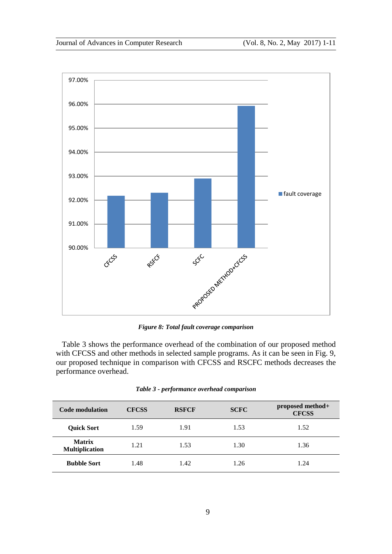

*Figure 8: Total fault coverage comparison*

Table 3 shows the performance overhead of the combination of our proposed method with CFCSS and other methods in selected sample programs. As it can be seen in Fig. 9, our proposed technique in comparison with CFCSS and RSCFC methods decreases the performance overhead.

| <b>Code modulation</b>                 | <b>CFCSS</b> | <b>RSFCF</b> | <b>SCFC</b> | proposed method+<br><b>CFCSS</b> |
|----------------------------------------|--------------|--------------|-------------|----------------------------------|
| <b>Quick Sort</b>                      | 1.59         | 1.91         | 1.53        | 1.52                             |
| <b>Matrix</b><br><b>Multiplication</b> | 1.21         | 1.53         | 1.30        | 1.36                             |
| <b>Bubble Sort</b>                     | 1.48         | 1.42         | 1.26        | 1.24                             |

| Table 3 - performance overhead comparison |  |  |  |
|-------------------------------------------|--|--|--|
|-------------------------------------------|--|--|--|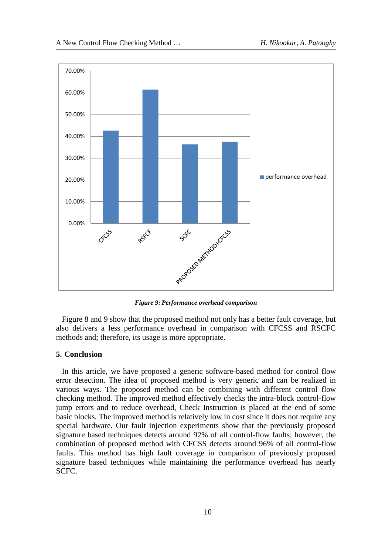

*Figure 9: Performance overhead comparison*

Figure 8 and 9 show that the proposed method not only has a better fault coverage, but also delivers a less performance overhead in comparison with CFCSS and RSCFC methods and; therefore, its usage is more appropriate.

#### **5. Conclusion**

In this article, we have proposed a generic software-based method for control flow error detection. The idea of proposed method is very generic and can be realized in various ways. The proposed method can be combining with different control flow checking method. The improved method effectively checks the intra-block control-flow jump errors and to reduce overhead, Check Instruction is placed at the end of some basic blocks. The improved method is relatively low in cost since it does not require any special hardware. Our fault injection experiments show that the previously proposed signature based techniques detects around 92% of all control-flow faults; however, the combination of proposed method with CFCSS detects around 96% of all control-flow faults. This method has high fault coverage in comparison of previously proposed signature based techniques while maintaining the performance overhead has nearly SCFC.